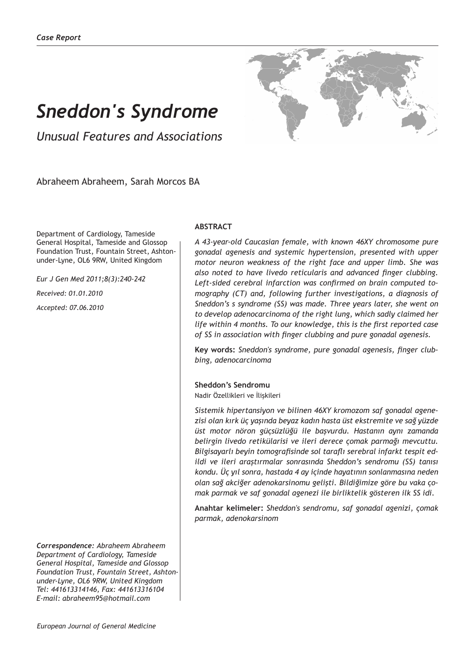# *Sneddon's Syndrome*

*Unusual Features and Associations*

Abraheem Abraheem, Sarah Morcos BA

Department of Cardiology, Tameside General Hospital, Tameside and Glossop Foundation Trust, Fountain Street, Ashtonunder-Lyne, OL6 9RW, United Kingdom

*Eur J Gen Med 2011;8(3):240-242 Received: 01.01.2010 Accepted: 07.06.2010*

*Correspondence: Abraheem Abraheem Department of Cardiology, Tameside General Hospital, Tameside and Glossop Foundation Trust, Fountain Street, Ashtonunder-Lyne, OL6 9RW, United Kingdom Tel: 441613314146, Fax: 441613316104 E-mail: abraheem95@hotmail.com*

## **ABSTRACT**

*A 43-year-old Caucasian female, with known 46XY chromosome pure gonadal agenesis and systemic hypertension, presented with upper motor neuron weakness of the right face and upper limb. She was also noted to have livedo reticularis and advanced finger clubbing. Left-sided cerebral infarction was confirmed on brain computed tomography (CT) and, following further investigations, a diagnosis of Sneddon's s syndrome (SS) was made. Three years later, she went on to develop adenocarcinoma of the right lung, which sadly claimed her life within 4 months. To our knowledge, this is the first reported case of SS in association with finger clubbing and pure gonadal agenesis.*

**Key words:** *Sneddon's syndrome, pure gonadal agenesis, finger clubbing, adenocarcinoma*

#### **Sheddon's Sendromu**

Nadir Özellikleri ve İlişkileri

*Sistemik hipertansiyon ve bilinen 46XY kromozom saf gonadal agenezisi olan kırk üç yaşında beyaz kadın hasta üst ekstremite ve sağ yüzde üst motor nöron güçsüzlüğü ile başvurdu. Hastanın aynı zamanda belirgin livedo retikülarisi ve ileri derece çomak parmağı mevcuttu. Bilgisayarlı beyin tomografisinde sol taraflı serebral infarkt tespit edildi ve ileri araştırmalar sonrasında Sheddon's sendromu (SS) tanısı kondu. Üç yıl sonra, hastada 4 ay içinde hayatının sonlanmasına neden olan sağ akciğer adenokarsinomu gelişti. Bildiğimize göre bu vaka çomak parmak ve saf gonadal agenezi ile birliktelik gösteren ilk SS idi.*

**Anahtar kelimeler:** *Sheddon's sendromu, saf gonadal agenizi, çomak parmak, adenokarsinom*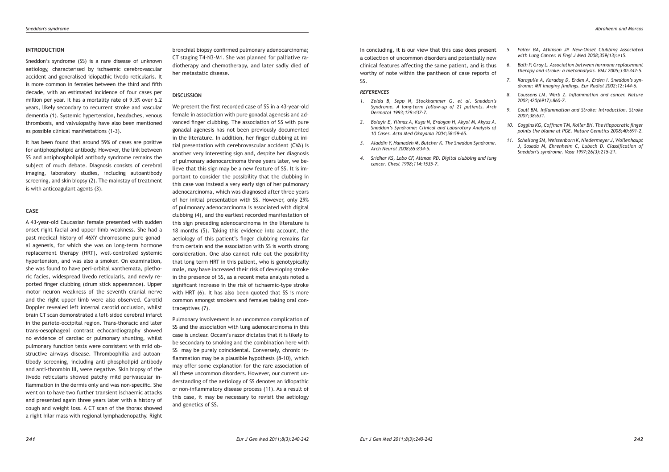#### **INTRODUCTION**

Sneddon's syndrome (SS) is a rare disease of unknown aetiology, characterised by ischaemic cerebrovascular accident and generalised idiopathic livedo reticularis. It is more common in females between the third and fifth decade, with an estimated incidence of four cases per million per year. It has a mortality rate of 9.5% over 6.2 years, likely secondary to recurrent stroke and vascular dementia (1). Systemic hypertension, headaches, venous thrombosis, and valvulopathy have also been mentioned as possible clinical manifestations (1-3).

It has been found that around 59% of cases are positive for antiphospholipid antibody. However, the link between SS and antiphospholipid antibody syndrome remains the subject of much debate. Diagnosis consists of cerebral imaging, laboratory studies, including autoantibody screening, and skin biopsy (2). The mainstay of treatment is with anticoagulant agents (3).

## **CASE**

A 43-year-old Caucasian female presented with sudden onset right facial and upper limb weakness. She had a past medical history of 46XY chromosome pure gonadal agenesis, for which she was on long-term hormone replacement therapy (HRT), well-controlled systemic hypertension, and was also a smoker. On examination, she was found to have peri-orbital xanthemata, plethoric facies, widespread livedo reticularis, and newly reported finger clubbing (drum stick appearance). Upper motor neuron weakness of the seventh cranial nerve and the right upper limb were also observed. Carotid Doppler revealed left internal carotid occlusion, whilst brain CT scan demonstrated a left-sided cerebral infarct in the parieto-occipital region. Trans-thoracic and later trans-oesophageal contrast echocardiography showed no evidence of cardiac or pulmonary shunting, whilst pulmonary function tests were consistent with mild obstructive airways disease. Thrombophilia and autoantibody screening, including anti-phospholipid antibody and anti-thrombin III, were negative. Skin biopsy of the livedo reticularis showed patchy mild perivascular inflammation in the dermis only and was non-specific. She went on to have two further transient ischaemic attacks and presented again three years later with a history of cough and weight loss. A CT scan of the thorax showed a right hilar mass with regional lymphadenopathy. Right

bronchial biopsy confirmed pulmonary adenocarcinoma; CT staging T4-N3-M1. She was planned for palliative radiotherapy and chemotherapy, and later sadly died of her metastatic disease.

#### **DISCUSSION**

We present the first recorded case of SS in a 43-year-old female in association with pure gonadal agenesis and advanced finger clubbing. The association of SS with pure gonadal agenesis has not been previously documented in the literature. In addition, her finger clubbing at initial presentation with cerebrovascular accident (CVA) is another very interesting sign and, despite her diagnosis of pulmonary adenocarcinoma three years later, we believe that this sign may be a new feature of SS. It is important to consider the possibility that the clubbing in this case was instead a very early sign of her pulmonary adenocarcinoma, which was diagnosed after three years of her initial presentation with SS. However, only 29% of pulmonary adenocarcinoma is associated with digital clubbing (4), and the earliest recorded manifestation of this sign preceding adenocarcinoma in the literature is 18 months (5). Taking this evidence into account, the aetiology of this patient's finger clubbing remains far from certain and the association with SS is worth strong consideration. One also cannot rule out the possibility that long term HRT in this patient, who is genotypically male, may have increased their risk of developing stroke in the presence of SS, as a recent meta analysis noted a significant increase in the risk of ischaemic-type stroke with HRT (6). It has also been quoted that SS is more common amongst smokers and females taking oral contraceptives (7).

Pulmonary involvement is an uncommon complication of SS and the association with lung adenocarcinoma in this case is unclear. Occam's razor dictates that it is likely to be secondary to smoking and the combination here with SS may be purely coincidental. Conversely, chronic inflammation may be a plausible hypothesis (8-10), which may offer some explanation for the rare association of all these uncommon disorders. However, our current understanding of the aetiology of SS denotes an idiopathic or non-inflammatory disease process (11). As a result of this case, it may be necessary to revisit the aetiology and genetics of SS.

In concluding, it is our view that this case does present a collection of uncommon disorders and potentially new clinical features affecting the same patient, and is thus worthy of note within the pantheon of case reports of SS.

### *REFERENCES*

- *1. Zelda B, Sepp N, Stockhammer G, et al. Sneddon's Syndrome. A long-term follow-up of 21 patients. Arch Dermatol 1993;129:437-7.*
- *2. Bolayir E, Yilmaz A, Kugu N, Erdogan H, Akyol M, Akyuz A. Sneddon's Syndrome: Clinical and Labarotory Analysis of 10 Cases. Acta Med Okayama 2004;58:59-65.*
- *3. Aladdin Y, Hamadeh M, Butcher K. The Sneddon Syndrome. Arch Neurol 2008;65:834-5.*
- *4. Sridhar KS, Lobo CF, Altman RD. Digital clubbing and lung cancer. Chest 1998;114:1535–7.*
- *5. Faller BA, Atkinson JP. New-Onset Clubbing Associated with Lung Cancer. N Engl J Med 2008;359(13):e15.*
- *6. Bath P, Gray L. Association between hormone replacement therapy and stroke: a metaanalysis. BMJ 2005;330:342-5.*
- *7. Karagulle A, Karadag D, Erden A, Erden I. Sneddon's syndrome: MR imaging findings. Eur Radiol 2002;12:144-6.*
- *8. Coussens LM, Werb Z. Inflammation and cancer. Nature 2002;420(6917):860-7.*
- *9. Coull BM. Inflammation and Stroke: Introduction. Stroke 2007;38:631.*
- *10. Coggins KG, Coffman TM, Koller BH. The Hippocratic finger points the blame at PGE. Nature Genetics 2008;40:691-2.*
- *11. Schellong SM, Weissenborn K, Niedermeyer J, Wollenhaupt J, Sosada M, Ehrenheim C, Lubach D. Classification of Sneddon's syndrome. Vasa 1997;26(3):215-21.*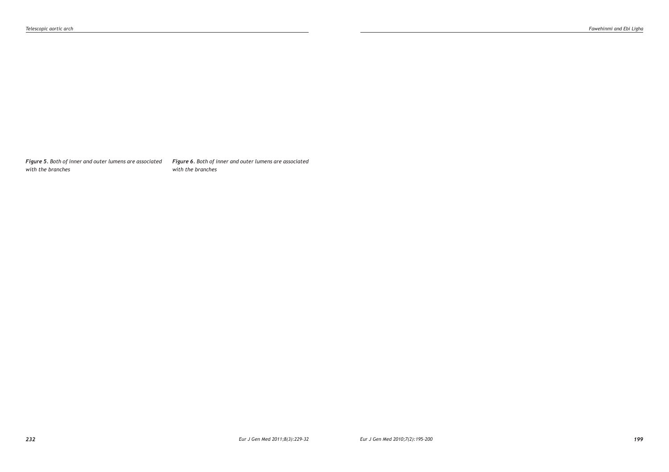*Figure 5. Both of inner and outer lumens are associated with the branches*

*Figure 6. Both of inner and outer lumens are associated with the branches*